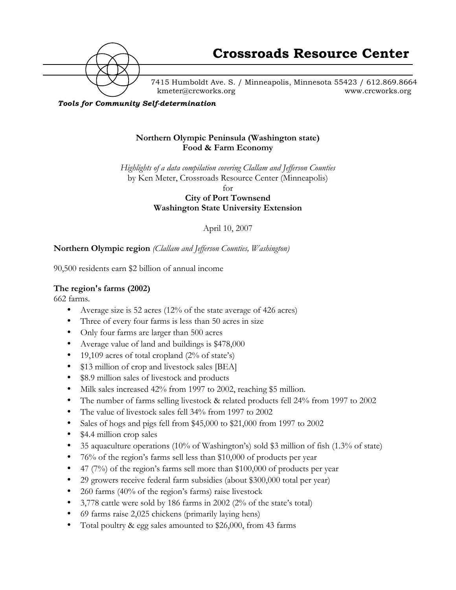

7415 Humboldt Ave. S. / Minneapolis, Minnesota 55423 / 612.869.8664 kmeter@crcworks.org www.crcworks.org

*Tools for Community Self-determination*

### **Northern Olympic Peninsula (Washington state) Food & Farm Economy**

*Highlights of a data compilation covering Clallam and Jefferson Counties* by Ken Meter, Crossroads Resource Center (Minneapolis)

for

**City of Port Townsend Washington State University Extension**

April 10, 2007

### **Northern Olympic region** *(Clallam and Jefferson Counties, Washington)*

90,500 residents earn \$2 billion of annual income

### **The region's farms (2002)**

662 farms.

- Average size is 52 acres (12% of the state average of 426 acres)
- Three of every four farms is less than 50 acres in size
- Only four farms are larger than 500 acres
- Average value of land and buildings is \$478,000
- 19,109 acres of total cropland (2% of state's)
- \$13 million of crop and livestock sales [BEA]
- \$8.9 million sales of livestock and products
- Milk sales increased 42% from 1997 to 2002, reaching \$5 million.
- The number of farms selling livestock & related products fell 24% from 1997 to 2002
- The value of livestock sales fell 34% from 1997 to 2002
- Sales of hogs and pigs fell from \$45,000 to \$21,000 from 1997 to 2002
- \$4.4 million crop sales
- 35 aquaculture operations (10% of Washington's) sold \$3 million of fish (1.3% of state)
- 76% of the region's farms sell less than \$10,000 of products per year
- 47 (7%) of the region's farms sell more than \$100,000 of products per year
- 29 growers receive federal farm subsidies (about \$300,000 total per year)
- 260 farms (40% of the region's farms) raise livestock
- 3,778 cattle were sold by 186 farms in 2002 (2% of the state's total)
- 69 farms raise 2,025 chickens (primarily laying hens)
- Total poultry & egg sales amounted to \$26,000, from 43 farms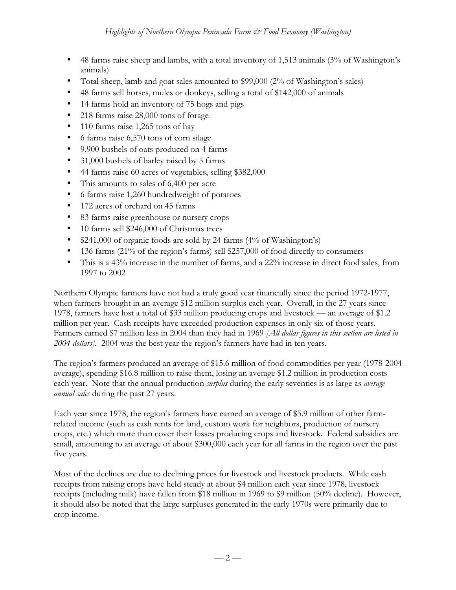- 48 farms raise sheep and lambs, with a total inventory of 1,513 animals (3% of Washington's animals)
- Total sheep, lamb and goat sales amounted to \$99,000 (2% of Washington's sales)
- 48 farms sell horses, mules or donkeys, selling a total of \$142,000 of animals
- 14 farms hold an inventory of 75 hogs and pigs
- 218 farms raise 28,000 tons of forage
- 110 farms raise 1,265 tons of hay
- 6 farms raise 6,570 tons of corn silage
- 9,900 bushels of oats produced on 4 farms
- 31,000 bushels of barley raised by 5 farms
- 44 farms raise 60 acres of vegetables, selling \$382,000
- This amounts to sales of 6,400 per acre
- 6 farms raise 1,260 hundredweight of potatoes
- 172 acres of orchard on 45 farms
- 83 farms raise greenhouse or nursery crops
- 10 farms sell \$246,000 of Christmas trees
- \$241,000 of organic foods are sold by 24 farms (4% of Washington's)
- 136 farms (21% of the region's farms) sell \$257,000 of food directly to consumers
- This is a 43% increase in the number of farms, and a 22% increase in direct food sales, from 1997 to 2002

Northern Olympic farmers have not had a truly good year financially since the period 1972-1977, when farmers brought in an average \$12 million surplus each year. Overall, in the 27 years since 1978, farmers have lost a total of \$33 million producing crops and livestock — an average of \$1.2 million per year. Cash receipts have exceeded production expenses in only six of those years. Farmers earned \$7 million less in 2004 than they had in 1969 *[All dollar figures in this section are listed in 2004 dollars].* 2004 was the best year the region's farmers have had in ten years.

The region's farmers produced an average of \$15.6 million of food commodities per year (1978-2004 average), spending \$16.8 million to raise them, losing an average \$1.2 million in production costs each year. Note that the annual production *surplus* during the early seventies is as large as *average annual sales* during the past 27 years.

Each year since 1978, the region's farmers have earned an average of \$5.9 million of other farmrelated income (such as cash rents for land, custom work for neighbors, production of nursery crops, etc.) which more than cover their losses producing crops and livestock. Federal subsidies are small, amounting to an average of about \$300,000 each year for all farms in the region over the past five years.

Most of the declines are due to declining prices for livestock and livestock products. While cash receipts from raising crops have held steady at about \$4 million each year since 1978, livestock receipts (including milk) have fallen from \$18 million in 1969 to \$9 million (50% decline). However, it should also be noted that the large surpluses generated in the early 1970s were primarily due to crop income.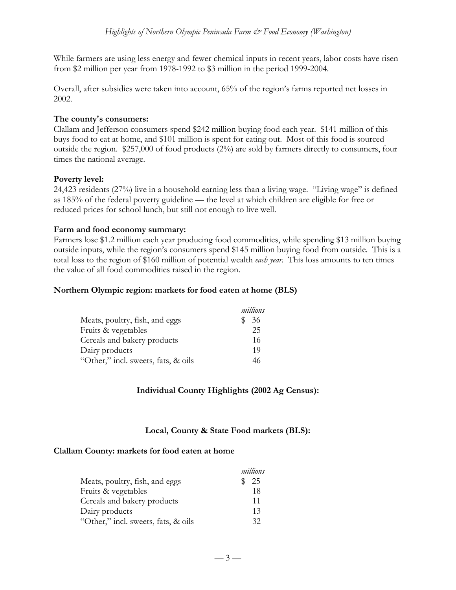While farmers are using less energy and fewer chemical inputs in recent years, labor costs have risen from \$2 million per year from 1978-1992 to \$3 million in the period 1999-2004.

Overall, after subsidies were taken into account, 65% of the region's farms reported net losses in 2002.

### **The county's consumers:**

Clallam and Jefferson consumers spend \$242 million buying food each year. \$141 million of this buys food to eat at home, and \$101 million is spent for eating out. Most of this food is sourced outside the region. \$257,000 of food products (2%) are sold by farmers directly to consumers, four times the national average.

#### **Poverty level:**

24,423 residents (27%) live in a household earning less than a living wage. "Living wage" is defined as 185% of the federal poverty guideline — the level at which children are eligible for free or reduced prices for school lunch, but still not enough to live well.

#### **Farm and food economy summary:**

Farmers lose \$1.2 million each year producing food commodities, while spending \$13 million buying outside inputs, while the region's consumers spend \$145 million buying food from outside. This is a total loss to the region of \$160 million of potential wealth *each year*. This loss amounts to ten times the value of all food commodities raised in the region.

#### **Northern Olympic region: markets for food eaten at home (BLS)**

|                                     | millions |
|-------------------------------------|----------|
| Meats, poultry, fish, and eggs      | 36       |
| Fruits & vegetables                 | 25       |
| Cereals and bakery products         | 16       |
| Dairy products                      | 19       |
| "Other," incl. sweets, fats, & oils |          |

### **Individual County Highlights (2002 Ag Census):**

### **Local, County & State Food markets (BLS):**

### **Clallam County: markets for food eaten at home**

|                                     | millions |
|-------------------------------------|----------|
| Meats, poultry, fish, and eggs      | 25       |
| Fruits & vegetables                 | 18       |
| Cereals and bakery products         | 11       |
| Dairy products                      | 13       |
| "Other," incl. sweets, fats, & oils | 32.      |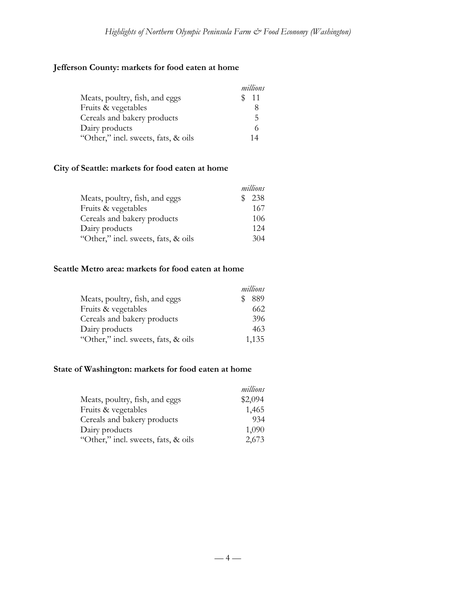# **Jefferson County: markets for food eaten at home**

|                                     | millions |
|-------------------------------------|----------|
| Meats, poultry, fish, and eggs      | \$ 11    |
| Fruits & vegetables                 |          |
| Cereals and bakery products         | 5        |
| Dairy products                      |          |
| "Other," incl. sweets, fats, & oils | 1 4      |

## **City of Seattle: markets for food eaten at home**

|                                     | millions |
|-------------------------------------|----------|
| Meats, poultry, fish, and eggs      | 238      |
| Fruits & vegetables                 | 167      |
| Cereals and bakery products         | 106      |
| Dairy products                      | 12.4     |
| "Other," incl. sweets, fats, & oils | 304      |

### **Seattle Metro area: markets for food eaten at home**

|                                     | millions |
|-------------------------------------|----------|
| Meats, poultry, fish, and eggs      | 889      |
| Fruits & vegetables                 | 662      |
| Cereals and bakery products         | 396      |
| Dairy products                      | 463      |
| "Other," incl. sweets, fats, & oils | 1,135    |

## **State of Washington: markets for food eaten at home**

|                                     | millions |
|-------------------------------------|----------|
| Meats, poultry, fish, and eggs      | \$2,094  |
| Fruits & vegetables                 | 1,465    |
| Cereals and bakery products         | 934      |
| Dairy products                      | 1,090    |
| "Other," incl. sweets, fats, & oils | 2,673    |